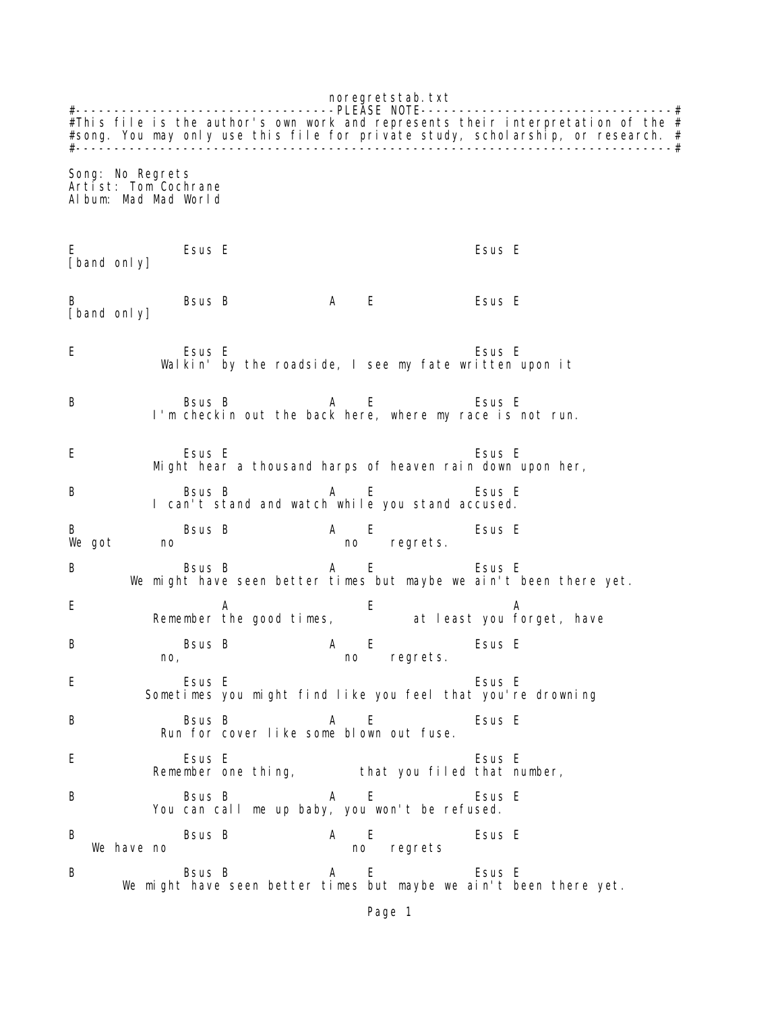noregretstab.txt #----------------------------------PLEASE NOTE---------------------------------# #This file is the author's own work and represents their interpretation of the  $#$ #song. You may only use this file for private study, scholarship, or research. # #------------------------------------------------------------------------------# Song: No Regrets Artist: Tom Cochrane Album: Mad Mad World E Esus E Esus E Esus E [band only] B BSus B A E Esus E [band only] E Esus E Esus E Walkin' by the roadside, I see my fate written upon it B Bsus B A E Esus E I'm checkin out the back here, where my race is not run. E Esus E Esus E Esus E Might hear a thousand harps of heaven rain down upon her, B Bsus B A E Esus E I can't stand and watch while you stand accused. B BSUS B A E Esus E<br>We got no ho regrets. regrets. B BSUS B A E ESUS E We might have seen better times but maybe we ain't been there yet. E A A E A Remember the good times, at least you forget, have B BSUS B A E ESUS E no, no regrets. E Esus E Esus E Esus E Sometimes you might find like you feel that you're drowning B Bsus B A E Esus E Run for cover like some blown out fuse. E Esus E Esus E Remember one thing, that you filed that number, B BSUS B A E ESUS E You can call me up baby, you won't be refused. B BSUS B A E ESUS E We have no no no regrets B Bsus B A E Esus E We might have seen better times but maybe we ain't been there yet.